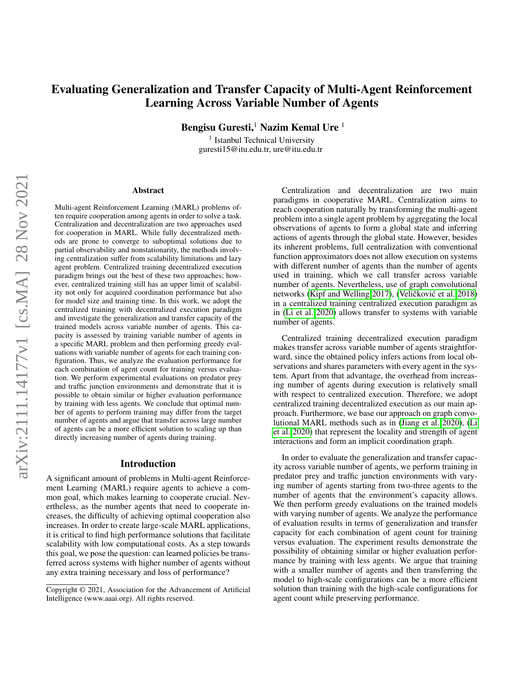# Evaluating Generalization and Transfer Capacity of Multi-Agent Reinforcement Learning Across Variable Number of Agents

Bengisu Guresti,<sup>1</sup> Nazim Kemal Ure  $1$ 

<sup>1</sup> Istanbul Technical University guresti15@itu.edu.tr, ure@itu.edu.tr

#### Abstract

Multi-agent Reinforcement Learning (MARL) problems often require cooperation among agents in order to solve a task. Centralization and decentralization are two approaches used for cooperation in MARL. While fully decentralized methods are prone to converge to suboptimal solutions due to partial observability and nonstationarity, the methods involving centralization suffer from scalability limitations and lazy agent problem. Centralized training decentralized execution paradigm brings out the best of these two approaches; however, centralized training still has an upper limit of scalability not only for acquired coordination performance but also for model size and training time. In this work, we adopt the centralized training with decentralized execution paradigm and investigate the generalization and transfer capacity of the trained models across variable number of agents. This capacity is assessed by training variable number of agents in a specific MARL problem and then performing greedy evaluations with variable number of agents for each training configuration. Thus, we analyze the evaluation performance for each combination of agent count for training versus evaluation. We perform experimental evaluations on predator prey and traffic junction environments and demonstrate that it is possible to obtain similar or higher evaluation performance by training with less agents. We conclude that optimal number of agents to perform training may differ from the target number of agents and argue that transfer across large number of agents can be a more efficient solution to scaling up than directly increasing number of agents during training.

#### Introduction

A significant amount of problems in Multi-agent Reinforcement Learning (MARL) require agents to achieve a common goal, which makes learning to cooperate crucial. Nevertheless, as the number agents that need to cooperate increases, the difficulty of achieving optimal cooperation also increases. In order to create large-scale MARL applications, it is critical to find high performance solutions that facilitate scalability with low computational costs. As a step towards this goal, we pose the question: can learned policies be transferred across systems with higher number of agents without any extra training necessary and loss of performance?

Centralization and decentralization are two main paradigms in cooperative MARL. Centralization aims to reach cooperation naturally by transforming the multi-agent problem into a single agent problem by aggregating the local observations of agents to form a global state and inferring actions of agents through the global state. However, besides its inherent problems, full centralization with conventional function approximators does not allow execution on systems with different number of agents than the number of agents used in training, which we call transfer across variable number of agents. Nevertheless, use of graph convolutional networks [\(Kipf and Welling 2017\)](#page-4-0), (Veličković et al. [2018\)](#page-4-1) in a centralized training centralized execution paradigm as in [\(Li et al. 2020\)](#page-4-2) allows transfer to systems with variable number of agents.

Centralized training decentralized execution paradigm makes transfer across variable number of agents straightforward, since the obtained policy infers actions from local observations and shares parameters with every agent in the system. Apart from that advantage, the overhead from increasing number of agents during execution is relatively small with respect to centralized execution. Therefore, we adopt centralized training decentralized execution as our main approach. Furthermore, we base our approach on graph convolutional MARL methods such as in [\(Jiang et al. 2020\)](#page-4-3), [\(Li](#page-4-2) [et al. 2020\)](#page-4-2) that represent the locality and strength of agent interactions and form an implicit coordination graph.

In order to evaluate the generalization and transfer capacity across variable number of agents, we perform training in predator prey and traffic junction environments with varying number of agents starting from two-three agents to the number of agents that the environment's capacity allows. We then perform greedy evaluations on the trained models with varying number of agents. We analyze the performance of evaluation results in terms of generalization and transfer capacity for each combination of agent count for training versus evaluation. The experiment results demonstrate the possibility of obtaining similar or higher evaluation performance by training with less agents. We argue that training with a smaller number of agents and then transferring the model to high-scale configurations can be a more efficient solution than training with the high-scale configurations for agent count while preserving performance.

Copyright © 2021, Association for the Advancement of Artificial Intelligence (www.aaai.org). All rights reserved.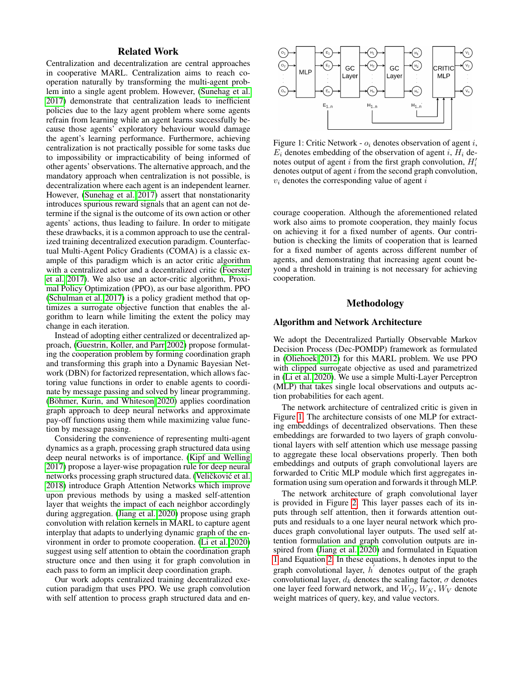### Related Work

Centralization and decentralization are central approaches in cooperative MARL. Centralization aims to reach cooperation naturally by transforming the multi-agent problem into a single agent problem. However, [\(Sunehag et al.](#page-4-4) [2017\)](#page-4-4) demonstrate that centralization leads to inefficient policies due to the lazy agent problem where some agents refrain from learning while an agent learns successfully because those agents' exploratory behaviour would damage the agent's learning performance. Furthermore, achieving centralization is not practically possible for some tasks due to impossibility or impracticability of being informed of other agents' observations. The alternative approach, and the mandatory approach when centralization is not possible, is decentralization where each agent is an independent learner. However, [\(Sunehag et al. 2017\)](#page-4-4) assert that nonstationarity introduces spurious reward signals that an agent can not determine if the signal is the outcome of its own action or other agents' actions, thus leading to failure. In order to mitigate these drawbacks, it is a common approach to use the centralized training decentralized execution paradigm. Counterfactual Multi-Agent Policy Gradients (COMA) is a classic example of this paradigm which is an actor critic algorithm with a centralized actor and a decentralized critic [\(Foerster](#page-4-5) [et al. 2017\)](#page-4-5). We also use an actor-critic algorithm, Proximal Policy Optimization (PPO), as our base algorithm. PPO [\(Schulman et al. 2017\)](#page-4-6) is a policy gradient method that optimizes a surrogate objective function that enables the algorithm to learn while limiting the extent the policy may change in each iteration.

Instead of adopting either centralized or decentralized approach, [\(Guestrin, Koller, and Parr 2002\)](#page-4-7) propose formulating the cooperation problem by forming coordination graph and transforming this graph into a Dynamic Bayesian Network (DBN) for factorized representation, which allows factoring value functions in order to enable agents to coordinate by message passing and solved by linear programming. (Böhmer, Kurin, and Whiteson 2020) applies coordination graph approach to deep neural networks and approximate pay-off functions using them while maximizing value function by message passing.

Considering the convenience of representing multi-agent dynamics as a graph, processing graph structured data using deep neural networks is of importance. [\(Kipf and Welling](#page-4-0) [2017\)](#page-4-0) propose a layer-wise propagation rule for deep neural networks processing graph structured data. (Veličković et al. [2018\)](#page-4-1) introduce Graph Attention Networks which improve upon previous methods by using a masked self-attention layer that weights the impact of each neighbor accordingly during aggregation. [\(Jiang et al. 2020\)](#page-4-3) propose using graph convolution with relation kernels in MARL to capture agent interplay that adapts to underlying dynamic graph of the environment in order to promote cooperation. [\(Li et al. 2020\)](#page-4-2) suggest using self attention to obtain the coordination graph structure once and then using it for graph convolution in each pass to form an implicit deep coordination graph.

Our work adopts centralized training decentralized execution paradigm that uses PPO. We use graph convolution with self attention to process graph structured data and en-

<span id="page-1-0"></span>

Figure 1: Critic Network -  $o_i$  denotes observation of agent i,  $E_i$  denotes embedding of the observation of agent i,  $H_i$  denotes output of agent  $i$  from the first graph convolution,  $H_i'$ denotes output of agent i from the second graph convolution,  $v_i$  denotes the corresponding value of agent  $i$ 

courage cooperation. Although the aforementioned related work also aims to promote cooperation, they mainly focus on achieving it for a fixed number of agents. Our contribution is checking the limits of cooperation that is learned for a fixed number of agents across different number of agents, and demonstrating that increasing agent count beyond a threshold in training is not necessary for achieving cooperation.

#### Methodology

#### Algorithm and Network Architecture

We adopt the Decentralized Partially Observable Markov Decision Process (Dec-POMDP) framework as formulated in [\(Oliehoek 2012\)](#page-4-9) for this MARL problem. We use PPO with clipped surrogate objective as used and parametrized in [\(Li et al. 2020\)](#page-4-2). We use a simple Multi-Layer Perceptron (MLP) that takes single local observations and outputs action probabilities for each agent.

The network architecture of centralized critic is given in Figure [1.](#page-1-0) The architecture consists of one MLP for extracting embeddings of decentralized observations. Then these embeddings are forwarded to two layers of graph convolutional layers with self attention which use message passing to aggregate these local observations properly. Then both embeddings and outputs of graph convolutional layers are forwarded to Critic MLP module which first aggregates information using sum operation and forwards it through MLP.

The network architecture of graph convolutional layer is provided in Figure [2.](#page-2-0) This layer passes each of its inputs through self attention, then it forwards attention outputs and residuals to a one layer neural network which produces graph convolutional layer outputs. The used self attention formulation and graph convolution outputs are inspired from [\(Jiang et al. 2020\)](#page-4-3) and formulated in Equation [1](#page-2-1) and Equation [2.](#page-2-2) In these equations, h denotes input to the graph convolutional layer,  $\overline{h}'$  denotes output of the graph convolutional layer,  $d_k$  denotes the scaling factor,  $\sigma$  denotes one layer feed forward network, and  $W_O$ ,  $W_K$ ,  $W_V$  denote weight matrices of query, key, and value vectors.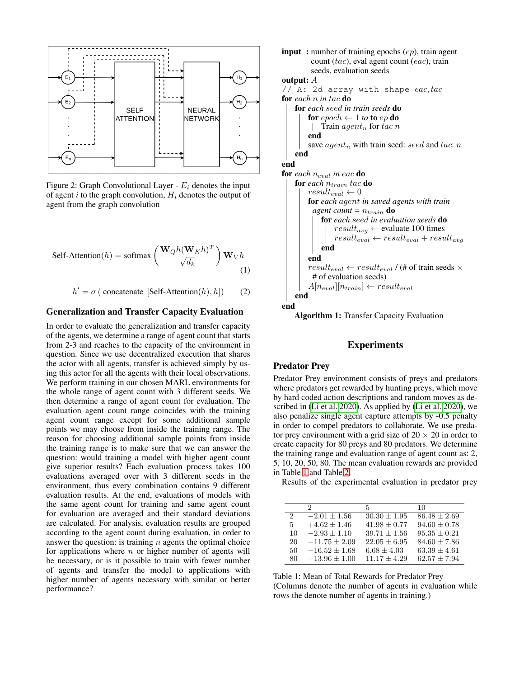<span id="page-2-0"></span>

Figure 2: Graph Convolutional Layer -  $E_i$  denotes the input of agent i to the graph convolution,  $H_i$  denotes the output of agent from the graph convolution

<span id="page-2-1"></span>Self-Attention(h) = softmax 
$$
\left(\frac{\mathbf{W}_{Q}h(\mathbf{W}_{K}h)^{T}}{\sqrt{d_{k}}}\right)\mathbf{W}_{V}h
$$
 (1)

<span id="page-2-2"></span>
$$
h' = \sigma \left( \text{concatenate} \left[ \text{Self-Attention}(h), h \right] \right) \tag{2}
$$

### Generalization and Transfer Capacity Evaluation

In order to evaluate the generalization and transfer capacity of the agents, we determine a range of agent count that starts from 2-3 and reaches to the capacity of the environment in question. Since we use decentralized execution that shares the actor with all agents, transfer is achieved simply by using this actor for all the agents with their local observations. We perform training in our chosen MARL environments for the whole range of agent count with 3 different seeds. We then determine a range of agent count for evaluation. The evaluation agent count range coincides with the training agent count range except for some additional sample points we may choose from inside the training range. The reason for choosing additional sample points from inside the training range is to make sure that we can answer the question: would training a model with higher agent count give superior results? Each evaluation process takes 100 evaluations averaged over with 3 different seeds in the environment, thus every combination contains 9 different evaluation results. At the end, evaluations of models with the same agent count for training and same agent count for evaluation are averaged and their standard deviations are calculated. For analysis, evaluation results are grouped according to the agent count during evaluation, in order to answer the question: is training  $n$  agents the optimal choice for applications where  $n$  or higher number of agents will be necessary, or is it possible to train with fewer number of agents and transfer the model to applications with higher number of agents necessary with similar or better performance?

```
input : number of training epochs (ep), train agent
         count (tac), eval agent count (eac), train
         seeds, evaluation seeds
output: A
// A: 2d array with shape eac, tacfor each n in tac do
    for each seed in train seeds do
        for epoch \leftarrow 1 to to ep do
         \int Train agent<sub>n</sub> for tac n
        end
        save agent_n with train seed: seed and tac: n
    end
end
for each n_{eval} in eac do
    for each n_{train} tac do
        result_{eval} \leftarrow 0for each agent in saved agents with train
          agent count = n_{train} do
            for each seed in evaluation seeds do
                 result_{avg} \leftarrow evaluate 100 times
                result_{eval} \leftarrow result_{eval} + result_{avg}end
        end
        result_{eval} \leftarrow result_{eval} / (# of train seeds \times# of evaluation seeds)
        A[n_{eval}][n_{train}] \leftarrow result_{eval}end
end
```
Algorithm 1: Transfer Capacity Evaluation

### Experiments

### Predator Prey

Predator Prey environment consists of preys and predators where predators get rewarded by hunting preys, which move by hard coded action descriptions and random moves as described in [\(Li et al. 2020\)](#page-4-2). As applied by [\(Li et al. 2020\)](#page-4-2), we also penalize single agent capture attempts by -0.5 penalty in order to compel predators to collaborate. We use predator prey environment with a grid size of  $20 \times 20$  in order to create capacity for 80 preys and 80 predators. We determine the training range and evaluation range of agent count as: 2, 5, 10, 20, 50, 80. The mean evaluation rewards are provided in Table [1](#page-2-3) and Table [2.](#page-3-0)

Results of the experimental evaluation in predator prey

<span id="page-2-3"></span>

|               | 2                 | 5                | 10               |
|---------------|-------------------|------------------|------------------|
| $\mathcal{D}$ | $-2.01 + 1.56$    | $30.30 + 1.95$   | $86.48 + 2.69$   |
| 5             | $+4.62 \pm 1.46$  | $41.98 \pm 0.77$ | $94.60 \pm 0.78$ |
| 10            | $-2.93 \pm 1.10$  | $39.71 + 1.56$   | $95.35 \pm 0.21$ |
| 20            | $-11.75 \pm 2.09$ | $22.05 \pm 6.95$ | $84.60 \pm 7.86$ |
| 50            | $-16.52 \pm 1.68$ | $6.68 + 4.03$    | $63.39 \pm 4.61$ |
| 80            | $-13.96 \pm 1.00$ | $11.17 + 4.29$   | $62.57 \pm 7.94$ |

Table 1: Mean of Total Rewards for Predator Prey (Columns denote the number of agents in evaluation while rows the denote number of agents in training.)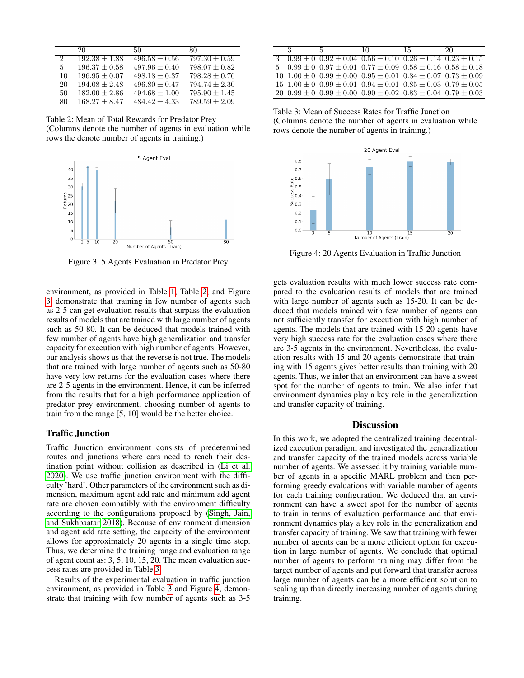<span id="page-3-0"></span>

|                             | 20                | 50                | 80                |
|-----------------------------|-------------------|-------------------|-------------------|
| $\mathcal{D}_{\mathcal{L}}$ | $192.38 \pm 1.88$ | $496.58 \pm 0.56$ | $797.30 \pm 0.59$ |
| 5                           | $196.37 \pm 0.58$ | $497.96 + 0.40$   | $798.07 \pm 0.82$ |
| 10                          | $196.95 + 0.07$   | $498.18 \pm 0.37$ | $798.28 + 0.76$   |
| 20                          | $194.08 + 2.48$   | $496.80 + 0.47$   | $794.74 + 2.30$   |
| 50                          | $182.00 \pm 2.86$ | $494.68 \pm 1.00$ | $795.90 + 1.45$   |
| 80                          | $168.27 + 8.47$   | $484.42 + 4.33$   | $789.59 + 2.09$   |

Table 2: Mean of Total Rewards for Predator Prey

(Columns denote the number of agents in evaluation while rows the denote number of agents in training.)

<span id="page-3-1"></span>

Figure 3: 5 Agents Evaluation in Predator Prey

environment, as provided in Table [1,](#page-2-3) Table [2,](#page-3-0) and Figure [3,](#page-3-1) demonstrate that training in few number of agents such as 2-5 can get evaluation results that surpass the evaluation results of models that are trained with large number of agents such as 50-80. It can be deduced that models trained with few number of agents have high generalization and transfer capacity for execution with high number of agents. However, our analysis shows us that the reverse is not true. The models that are trained with large number of agents such as 50-80 have very low returns for the evaluation cases where there are 2-5 agents in the environment. Hence, it can be inferred from the results that for a high performance application of predator prey environment, choosing number of agents to train from the range [5, 10] would be the better choice.

#### Traffic Junction

Traffic Junction environment consists of predetermined routes and junctions where cars need to reach their destination point without collision as described in [\(Li et al.](#page-4-2) [2020\)](#page-4-2). We use traffic junction environment with the difficulty 'hard'. Other parameters of the environment such as dimension, maximum agent add rate and minimum add agent rate are chosen compatibly with the environment difficulty according to the configurations proposed by [\(Singh, Jain,](#page-4-10) [and Sukhbaatar 2018\)](#page-4-10). Because of environment dimension and agent add rate setting, the capacity of the environment allows for approximately 20 agents in a single time step. Thus, we determine the training range and evaluation range of agent count as: 3, 5, 10, 15, 20. The mean evaluation success rates are provided in Table [3.](#page-3-2)

Results of the experimental evaluation in traffic junction environment, as provided in Table [3](#page-3-2) and Figure [4,](#page-3-3) demonstrate that training with few number of agents such as 3-5

<span id="page-3-2"></span>

| ર | 5                                                                                               | 10 | 15 | 20. |
|---|-------------------------------------------------------------------------------------------------|----|----|-----|
|   | $0.99 \pm 0$ $0.92 \pm 0.04$ $0.56 \pm 0.10$ $0.26 \pm 0.14$ $0.23 \pm 0.15$                    |    |    |     |
|   | $5\quad 0.99 \pm 0\quad 0.97 \pm 0.01\quad 0.77 \pm 0.09\quad 0.58 \pm 0.16\quad 0.58 \pm 0.18$ |    |    |     |
|   | $10\quad1.00 \pm 0\;0.99 \pm 0.00\;0.95 \pm 0.01\;0.84 \pm 0.07\;0.73 \pm 0.09$                 |    |    |     |
|   | $15\ 1.00 \pm 0\ 0.99 \pm 0.01\ 0.94 \pm 0.01\ 0.85 \pm 0.03\ 0.79 \pm 0.05$                    |    |    |     |
|   | $20\ \ 0.99 \pm 0\ \ 0.99 \pm 0.00\ \ 0.90 \pm 0.02\ \ 0.83 \pm 0.04\ \ 0.79 \pm 0.03$          |    |    |     |

Table 3: Mean of Success Rates for Traffic Junction (Columns denote the number of agents in evaluation while rows denote the number of agents in training.)

<span id="page-3-3"></span>

Figure 4: 20 Agents Evaluation in Traffic Junction

gets evaluation results with much lower success rate compared to the evaluation results of models that are trained with large number of agents such as 15-20. It can be deduced that models trained with few number of agents can not sufficiently transfer for execution with high number of agents. The models that are trained with 15-20 agents have very high success rate for the evaluation cases where there are 3-5 agents in the environment. Nevertheless, the evaluation results with 15 and 20 agents demonstrate that training with 15 agents gives better results than training with 20 agents. Thus, we infer that an environment can have a sweet spot for the number of agents to train. We also infer that environment dynamics play a key role in the generalization and transfer capacity of training.

### **Discussion**

In this work, we adopted the centralized training decentralized execution paradigm and investigated the generalization and transfer capacity of the trained models across variable number of agents. We assessed it by training variable number of agents in a specific MARL problem and then performing greedy evaluations with variable number of agents for each training configuration. We deduced that an environment can have a sweet spot for the number of agents to train in terms of evaluation performance and that environment dynamics play a key role in the generalization and transfer capacity of training. We saw that training with fewer number of agents can be a more efficient option for execution in large number of agents. We conclude that optimal number of agents to perform training may differ from the target number of agents and put forward that transfer across large number of agents can be a more efficient solution to scaling up than directly increasing number of agents during training.